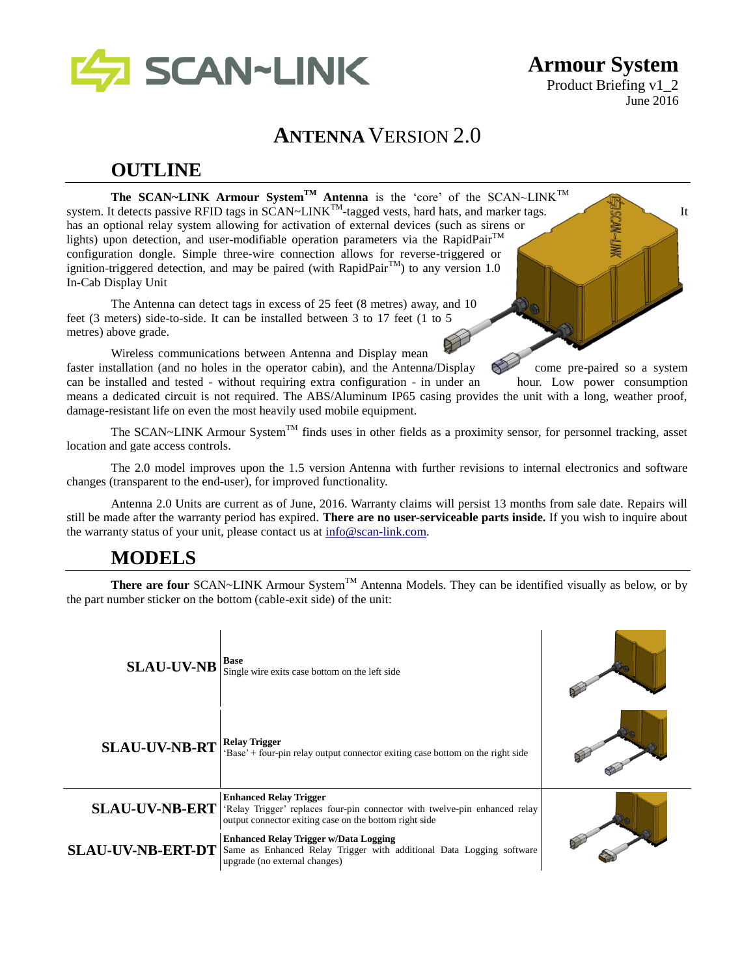

**Armour System** Product Briefing v1\_2 June 2016

## **ANTENNA** VERSION 2.0

## **OUTLINE**

**The SCAN~LINK Armour SystemTM Antenna** is the 'core' of the SCAN~LINKTM system. It detects passive RFID tags in SCAN~LINK<sup>TM</sup>-tagged vests, hard hats, and marker tags. has an optional relay system allowing for activation of external devices (such as sirens or lights) upon detection, and user-modifiable operation parameters via the RapidPair<sup>TM</sup> configuration dongle. Simple three-wire connection allows for reverse-triggered or ignition-triggered detection, and may be paired (with RapidPair<sup>TM</sup>) to any version 1.0 In-Cab Display Unit

The Antenna can detect tags in excess of 25 feet (8 metres) away, and 10 feet (3 meters) side-to-side. It can be installed between 3 to 17 feet (1 to 5 metres) above grade.

Wireless communications between Antenna and Display mean faster installation (and no holes in the operator cabin), and the Antenna/Display come pre-paired so a system can be installed and tested - without requiring extra configuration - in under an hour. Low power consumption means a dedicated circuit is not required. The ABS/Aluminum IP65 casing provides the unit with a long, weather proof, damage-resistant life on even the most heavily used mobile equipment.

The SCAN~LINK Armour System<sup>TM</sup> finds uses in other fields as a proximity sensor, for personnel tracking, asset location and gate access controls.

The 2.0 model improves upon the 1.5 version Antenna with further revisions to internal electronics and software changes (transparent to the end-user), for improved functionality.

Antenna 2.0 Units are current as of June, 2016. Warranty claims will persist 13 months from sale date. Repairs will still be made after the warranty period has expired. **There are no user-serviceable parts inside.** If you wish to inquire about the warranty status of your unit, please contact us at [info@scan-link.com.](mailto:info@scan-link.com)

### **MODELS**

**There are four** SCAN~LINK Armour System<sup>TM</sup> Antenna Models. They can be identified visually as below, or by the part number sticker on the bottom (cable-exit side) of the unit:

| <b>SLAU-UV-NB</b>        | <b>Base</b><br>Single wire exits case bottom on the left side                                                                                                         |  |
|--------------------------|-----------------------------------------------------------------------------------------------------------------------------------------------------------------------|--|
| <b>SLAU-UV-NB-RT</b>     | <b>Relay Trigger</b><br>'Base' + four-pin relay output connector exiting case bottom on the right side                                                                |  |
| <b>SLAU-UV-NB-ERT</b>    | <b>Enhanced Relay Trigger</b><br>'Relay Trigger' replaces four-pin connector with twelve-pin enhanced relay<br>output connector exiting case on the bottom right side |  |
| <b>SLAU-UV-NB-ERT-DT</b> | <b>Enhanced Relay Trigger w/Data Logging</b><br>Same as Enhanced Relay Trigger with additional Data Logging software<br>upgrade (no external changes)                 |  |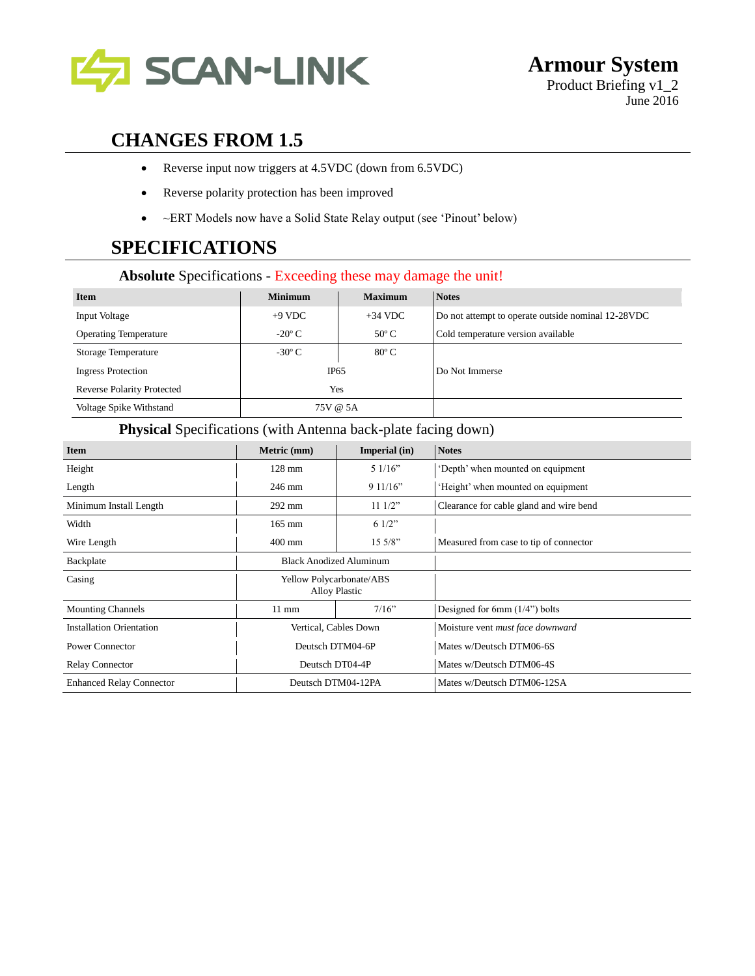

## **CHANGES FROM 1.5**

- Reverse input now triggers at 4.5VDC (down from 6.5VDC)
- Reverse polarity protection has been improved
- ~ERT Models now have a Solid State Relay output (see 'Pinout' below)

## **SPECIFICATIONS**

### **Absolute** Specifications - Exceeding these may damage the unit!

| <b>Item</b>                       | <b>Minimum</b>  | <b>Maximum</b> | <b>Notes</b>                                       |
|-----------------------------------|-----------------|----------------|----------------------------------------------------|
| <b>Input Voltage</b>              | $+9$ VDC        | $+34$ VDC      | Do not attempt to operate outside nominal 12-28VDC |
| <b>Operating Temperature</b>      | $-20^{\circ}$ C | $50^{\circ}$ C | Cold temperature version available                 |
| Storage Temperature               | $-30^{\circ}$ C | $80^{\circ}$ C |                                                    |
| <b>Ingress Protection</b>         | IP65            |                | Do Not Immerse                                     |
| <b>Reverse Polarity Protected</b> | Yes             |                |                                                    |
| Voltage Spike Withstand           | 75V @ 5A        |                |                                                    |

### **Physical** Specifications (with Antenna back-plate facing down)

| <b>Item</b>                     | Metric (mm)                                      | Imperial (in) | <b>Notes</b>                                  |  |
|---------------------------------|--------------------------------------------------|---------------|-----------------------------------------------|--|
| Height                          | $128$ mm                                         | 51/16"        | 'Depth' when mounted on equipment             |  |
| Length                          | 246 mm                                           | 911/16"       | Height' when mounted on equipment             |  |
| Minimum Install Length          | $11 \frac{1}{2}$<br>$292 \text{ mm}$             |               | Clearance for cable gland and wire bend       |  |
| Width                           | $165$ mm                                         | 61/2"         |                                               |  |
| Wire Length                     | $400$ mm                                         | 15.5/8"       | Measured from case to tip of connector        |  |
| Backplate                       | <b>Black Anodized Aluminum</b>                   |               |                                               |  |
| Casing                          | Yellow Polycarbonate/ABS<br><b>Alloy Plastic</b> |               |                                               |  |
| <b>Mounting Channels</b>        | $11 \text{ mm}$                                  | 7/16"         | Designed for 6mm $(1/4)$ <sup>"</sup> ) bolts |  |
| <b>Installation Orientation</b> | Vertical, Cables Down                            |               | Moisture vent must face downward              |  |
| <b>Power Connector</b>          | Deutsch DTM04-6P                                 |               | Mates w/Deutsch DTM06-6S                      |  |
| <b>Relay Connector</b>          | Deutsch DT04-4P                                  |               | Mates w/Deutsch DTM06-4S                      |  |
| <b>Enhanced Relay Connector</b> | Deutsch DTM04-12PA                               |               | Mates w/Deutsch DTM06-12SA                    |  |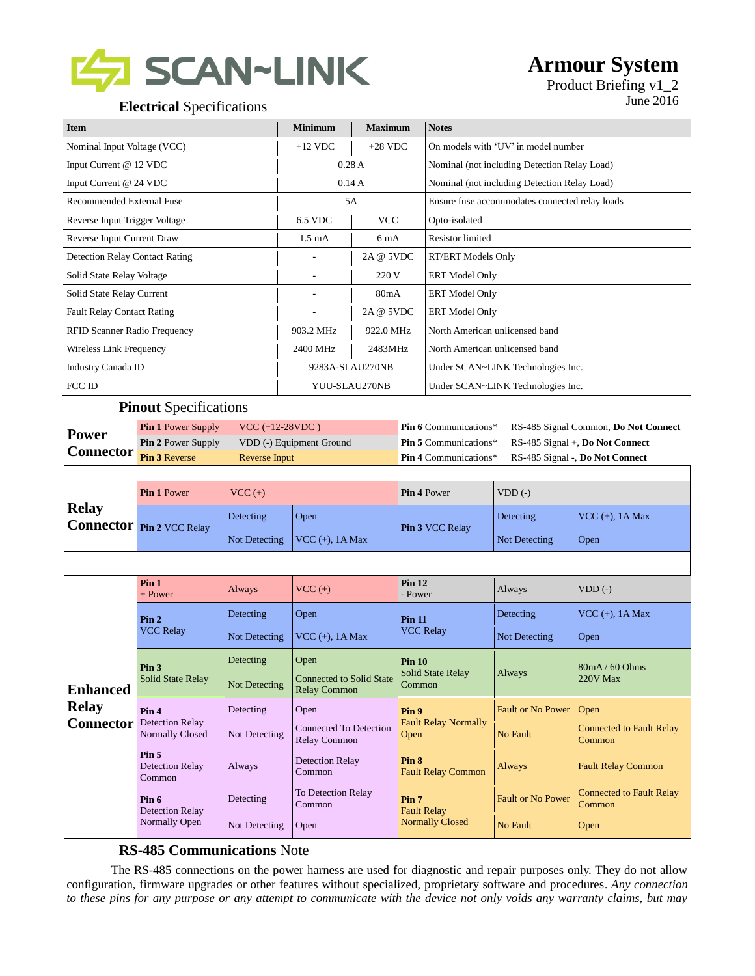

## **Armour System**

## **Electrical** Specifications **I** June 2016

# Product Briefing v1\_2

| <b>Item</b>                           | <b>Minimum</b>   | <b>Maximum</b> | <b>Notes</b>                                   |
|---------------------------------------|------------------|----------------|------------------------------------------------|
| Nominal Input Voltage (VCC)           | $+12$ VDC        | $+28$ VDC      | On models with 'UV' in model number            |
| Input Current @ 12 VDC                | 0.28A            |                | Nominal (not including Detection Relay Load)   |
| Input Current @ 24 VDC                | 0.14A            |                | Nominal (not including Detection Relay Load)   |
| Recommended External Fuse             | 5A               |                | Ensure fuse accommodates connected relay loads |
| Reverse Input Trigger Voltage         | 6.5 VDC          | <b>VCC</b>     | Opto-isolated                                  |
| Reverse Input Current Draw            | $1.5 \text{ mA}$ | 6 mA           | <b>Resistor</b> limited                        |
| <b>Detection Relay Contact Rating</b> |                  | 2A @ 5VDC      | <b>RT/ERT Models Only</b>                      |
| Solid State Relay Voltage             |                  | 220 V          | <b>ERT</b> Model Only                          |
| Solid State Relay Current             |                  | 80mA           | <b>ERT</b> Model Only                          |
| <b>Fault Relay Contact Rating</b>     |                  | 2A @ 5VDC      | <b>ERT</b> Model Only                          |
| <b>RFID Scanner Radio Frequency</b>   | 903.2 MHz        | 922.0 MHz      | North American unlicensed band                 |
| Wireless Link Frequency               | 2400 MHz         | 2483MHz        | North American unlicensed band                 |
| Industry Canada ID                    | 9283A-SLAU270NB  |                | Under SCAN~LINK Technologies Inc.              |
| FCC ID                                | YUU-SLAU270NB    |                | Under SCAN~LINK Technologies Inc.              |

### **Pinout** Specifications

| <b>Pin 1 Power Supply</b><br>$VCC (+12-28VDC)$<br><b>Power</b> |                                                      |                                                                         | Pin 6 Communications*                         | RS-485 Signal Common, Do Not Connect          |                                 |                                           |  |
|----------------------------------------------------------------|------------------------------------------------------|-------------------------------------------------------------------------|-----------------------------------------------|-----------------------------------------------|---------------------------------|-------------------------------------------|--|
|                                                                | Pin 2 Power Supply                                   |                                                                         | VDD (-) Equipment Ground                      | Pin 5 Communications*                         |                                 | RS-485 Signal +, Do Not Connect           |  |
| <b>Connector</b>                                               | Pin 3 Reverse<br><b>Reverse Input</b>                |                                                                         | Pin 4 Communications*                         |                                               | RS-485 Signal -, Do Not Connect |                                           |  |
|                                                                |                                                      |                                                                         |                                               |                                               |                                 |                                           |  |
|                                                                | Pin 1 Power                                          | $VCC (+)$                                                               |                                               | Pin 4 Power                                   | $VDD$ (-)                       |                                           |  |
| <b>Relay</b>                                                   | <b>Connector</b> Pin 2 VCC Relay                     | Detecting                                                               | Open                                          | Pin 3 VCC Relay                               | Detecting                       | VCC $(+)$ , 1A Max                        |  |
|                                                                |                                                      | Not Detecting                                                           | VCC $(+)$ , 1A Max                            |                                               | Not Detecting                   | Open                                      |  |
|                                                                |                                                      |                                                                         |                                               |                                               |                                 |                                           |  |
|                                                                | Pin <sub>1</sub><br>+ Power                          | <b>Always</b>                                                           | $VCC (+)$                                     | <b>Pin 12</b><br>- Power                      | Always                          | $VDD$ $(-)$                               |  |
| <b>Enhanced</b>                                                | Pin <sub>2</sub>                                     | Detecting                                                               | Open                                          | <b>Pin 11</b>                                 | Detecting                       | VCC $(+)$ , 1A Max                        |  |
|                                                                | <b>VCC Relay</b>                                     | Not Detecting                                                           | VCC $(+)$ , 1A Max                            | <b>VCC Relay</b>                              | Not Detecting                   | Open                                      |  |
|                                                                | Pin <sub>3</sub>                                     | Detecting                                                               | Open                                          | Pin <sub>10</sub><br><b>Solid State Relay</b> | Always                          | 80mA/60Ohms                               |  |
|                                                                | Solid State Relay                                    | <b>Connected to Solid State</b><br>Not Detecting<br><b>Relay Common</b> |                                               | Common                                        |                                 | 220V Max                                  |  |
| <b>Relay</b>                                                   | Pin <sub>4</sub><br><b>Detection Relay</b>           | Detecting                                                               | Open                                          | Pin <sub>9</sub>                              | <b>Fault or No Power</b>        | Open                                      |  |
| <b>Connector</b>                                               | <b>Normally Closed</b><br>Not Detecting              |                                                                         | <b>Connected To Detection</b><br>Relay Common | <b>Fault Relay Normally</b><br>Open           | No Fault                        | <b>Connected to Fault Relay</b><br>Common |  |
|                                                                | Pin <sub>5</sub><br><b>Detection Relay</b><br>Common | Always                                                                  | <b>Detection Relay</b><br>Common              | Pin <sub>8</sub><br><b>Fault Relay Common</b> | <b>Always</b>                   | <b>Fault Relay Common</b>                 |  |
|                                                                | Detecting<br>Pin 6<br><b>Detection Relay</b>         |                                                                         | To Detection Relay<br>Common                  | Pin <sub>7</sub><br><b>Fault Relay</b>        | <b>Fault or No Power</b>        | <b>Connected to Fault Relay</b><br>Common |  |
|                                                                | Normally Open<br>Not Detecting<br>Open               |                                                                         | <b>Normally Closed</b>                        | No Fault                                      | Open                            |                                           |  |

### **RS-485 Communications** Note

The RS-485 connections on the power harness are used for diagnostic and repair purposes only. They do not allow configuration, firmware upgrades or other features without specialized, proprietary software and procedures*. Any connection to these pins for any purpose or any attempt to communicate with the device not only voids any warranty claims, but may*